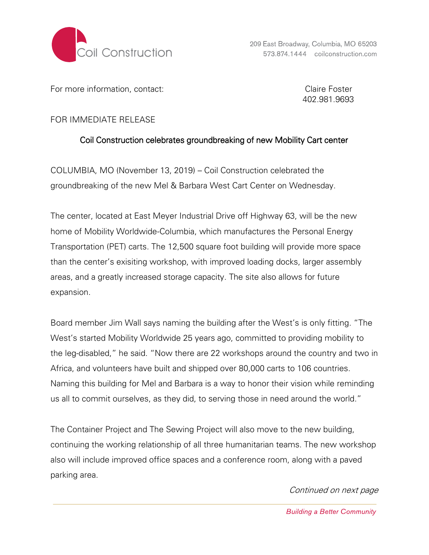

For more information, contact: Claire Foster

402.981.9693

## FOR IMMEDIATE RELEASE

## Coil Construction celebrates groundbreaking of new Mobility Cart center

COLUMBIA, MO (November 13, 2019) – Coil Construction celebrated the groundbreaking of the new Mel & Barbara West Cart Center on Wednesday.

The center, located at East Meyer Industrial Drive off Highway 63, will be the new home of Mobility Worldwide-Columbia, which manufactures the Personal Energy Transportation (PET) carts. The 12,500 square foot building will provide more space than the center's exisiting workshop, with improved loading docks, larger assembly areas, and a greatly increased storage capacity. The site also allows for future expansion.

Board member Jim Wall says naming the building after the West's is only fitting. "The West's started Mobility Worldwide 25 years ago, committed to providing mobility to the leg-disabled," he said. "Now there are 22 workshops around the country and two in Africa, and volunteers have built and shipped over 80,000 carts to 106 countries. Naming this building for Mel and Barbara is a way to honor their vision while reminding us all to commit ourselves, as they did, to serving those in need around the world."

The Container Project and The Sewing Project will also move to the new building, continuing the working relationship of all three humanitarian teams. The new workshop also will include improved office spaces and a conference room, along with a paved parking area.

## Continued on next page

**Building a Better Community**